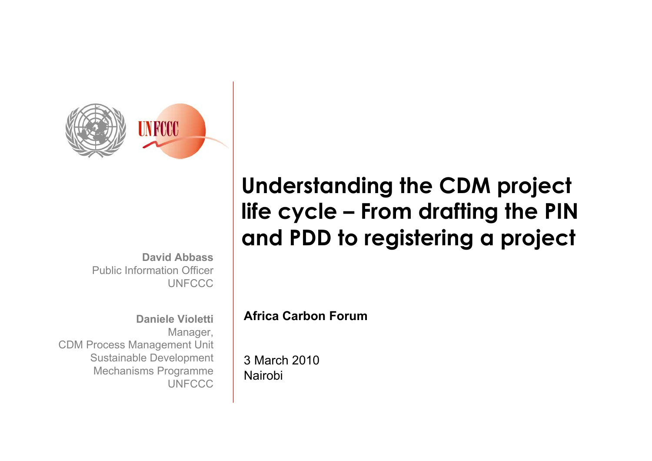

**David Abbass**Public Information Officer**UNFCCC** 

**Daniele Violetti**Manager, CDM Process Management Unit Sustainable Development Mechanisms Programme **UNFCCC** 

# **Understanding the CDM project life cycle – From drafting the PIN and PDD to registering a project**

**Africa Carbon Forum**

3 March 2010Nairobi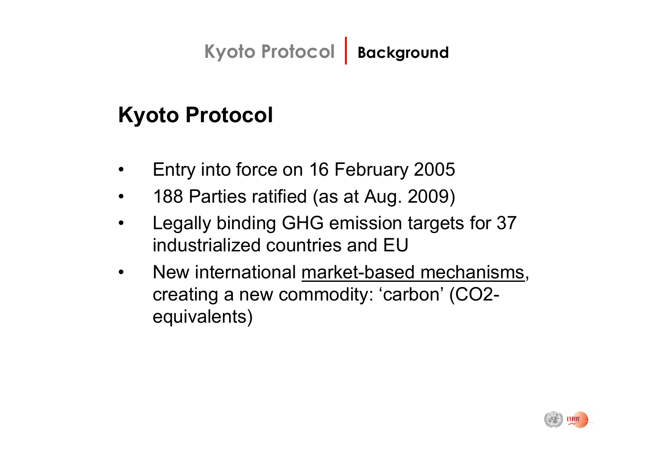# **Kyoto Protocol | Background**

## **Kyoto Protocol**

- ïEntry into force on 16 February 2005
- ï188 Parties ratified (as at Aug. 2009)
- ï Legally binding GHG emission targets for 37 industrialized countries and EU
- ï New international market-based mechanisms, creating a new commodity: 'carbon' (CO2equivalents)

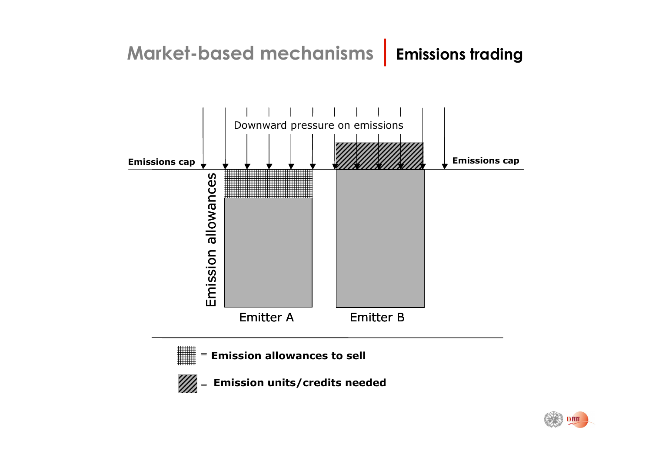





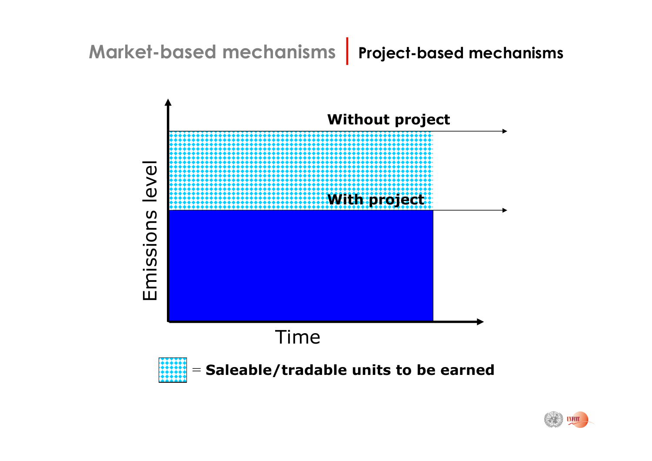#### **Market-based mechanisms| Project-based mechanisms**



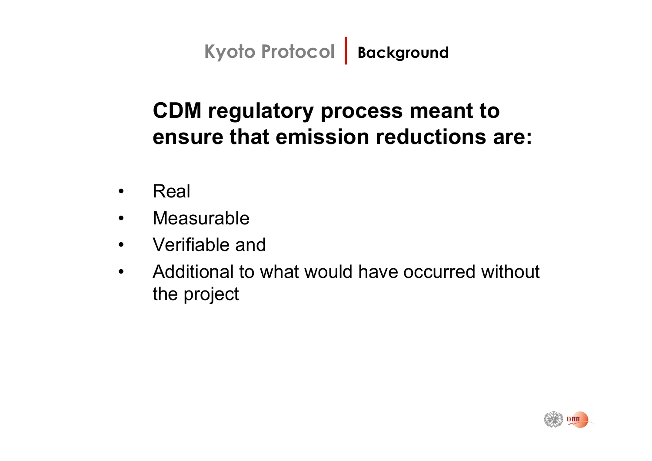**Kyoto Protocol | Background**

## **CDM regulatory process meant to ensure that emission reductions are:**

- $\bullet$ Real
- $\bullet$ Measurable
- $\bullet$ Verifiable and
- $\bullet$  Additional to what would have occurred without the project

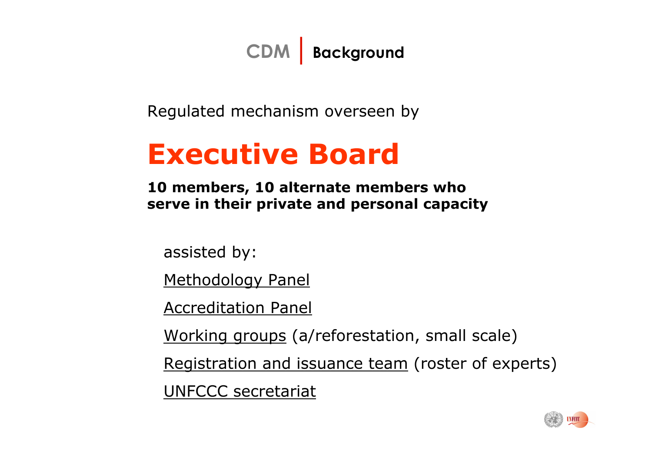**CDM| Background** 

Regulated mechanism overseen by

# **Executive Board**

**10 members, 10 alternate members who serve in their private and personal capacity**

assisted by:

Methodology Panel

Accreditation Panel

Working groups (a/reforestation, small scale)

Registration and issuance team (roster of experts) UNFCCC secretariat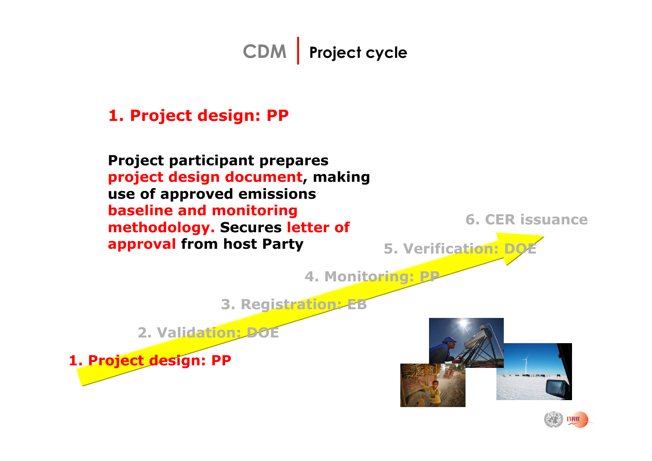#### **1. Project design: PP**

**Project participant prepares project design document, making use of approved emissions baseline and monitoring methodology. Secures letter of approval from host Party**

**6. CER issuance**

**5. Verification: DC** 

**4. Monitoring: PP**

**3. Registration: EB**

**2. Validation: DOE**

**1. Project design: PP**



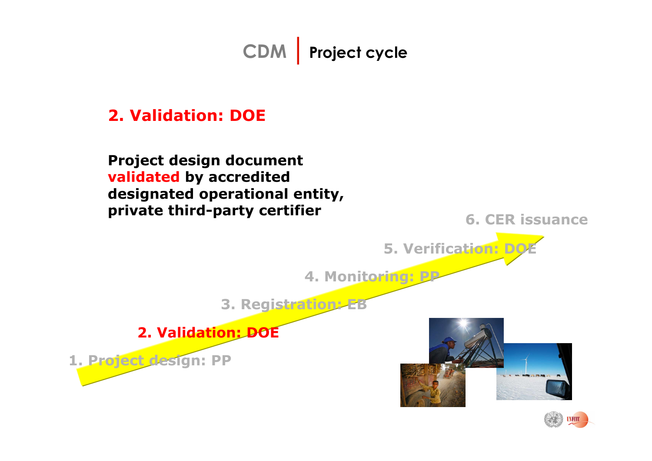#### **2. Validation: DOE**

**Project design document validated by accredited designated operational entity, private third-party certifier**

**6. CER issuance**

**5. Verification: DO** 

**4. Monitoring: PP**

**3. Registration: EB**

**2. Validation: DOE**

**1. Project design: PP**



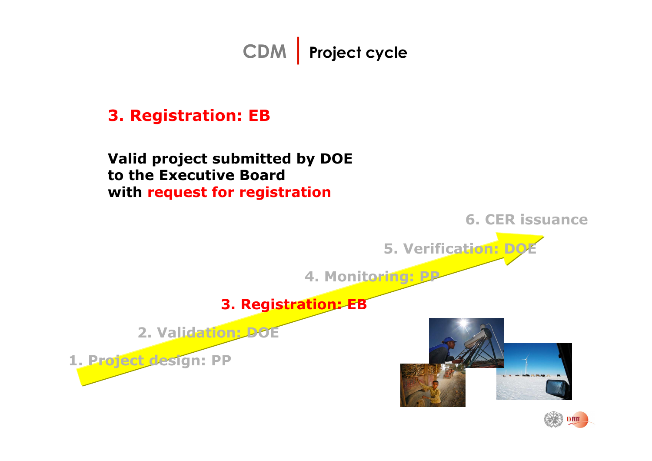#### **3. Registration: EB**

**Valid project submitted by DOE to the Executive Boardwith request for registration**



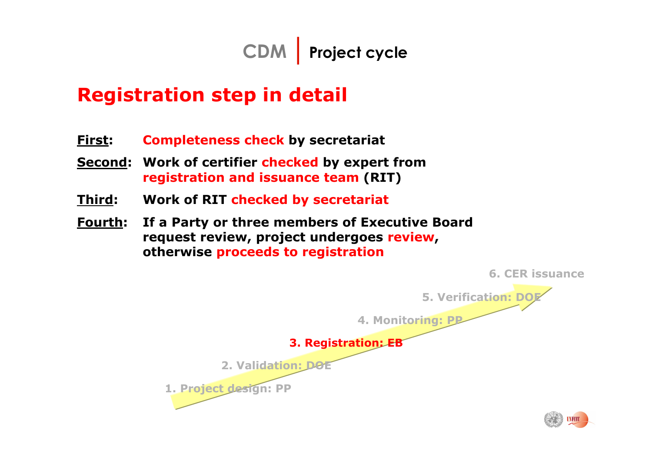

## **Registration step in detail**

- **First:Completeness check by secretariat**
- **Second: Work of certifier checked by expert from registration and issuance team (RIT)**
- **Third: Work of RIT checked by secretariat**
- **Fourth: If a Party or three members of Executive Board request review, project undergoes review, otherwise proceeds to registration**

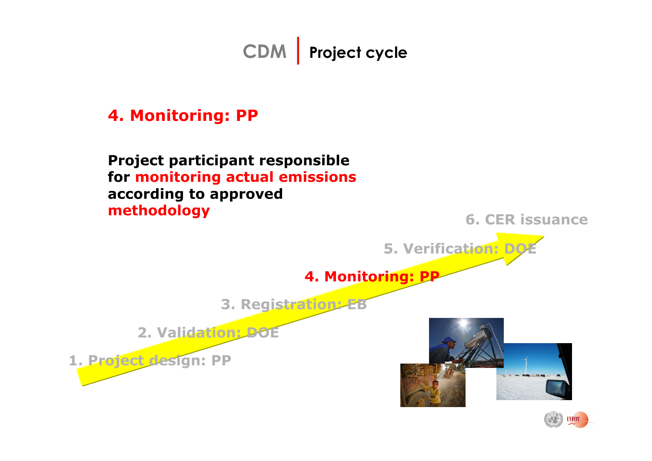#### **4. Monitoring: PP**

#### **Project participant responsible for monitoring actual emissions according to approved methodology**



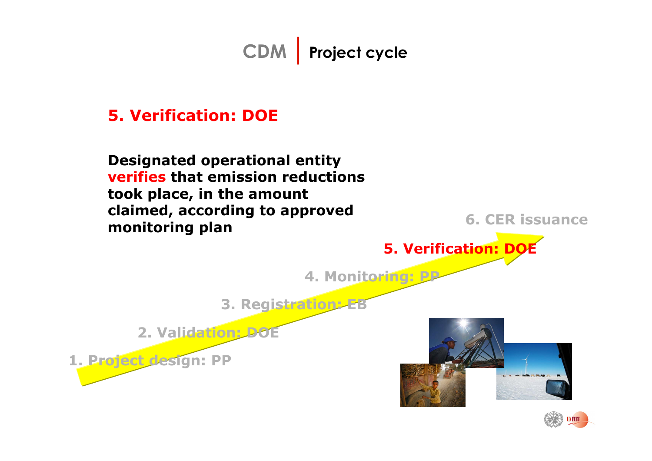#### **5. Verification: DOE**

**Designated operational entity verifies that emission reductions took place, in the amount claimed, according to approved monitoring plan**

**6. CER issuance**

**5. Verification: DOE**

**4. Monitoring: PP**

**3. Registration: EB**

**2. Validation: DOE**

**1. Project design: PP**



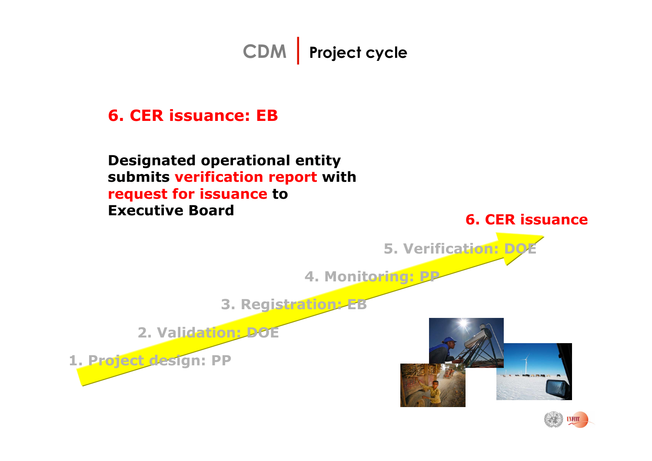#### **6. CER issuance: EB**

**Designated operational entity submits verification report with request for issuance to Executive Board**